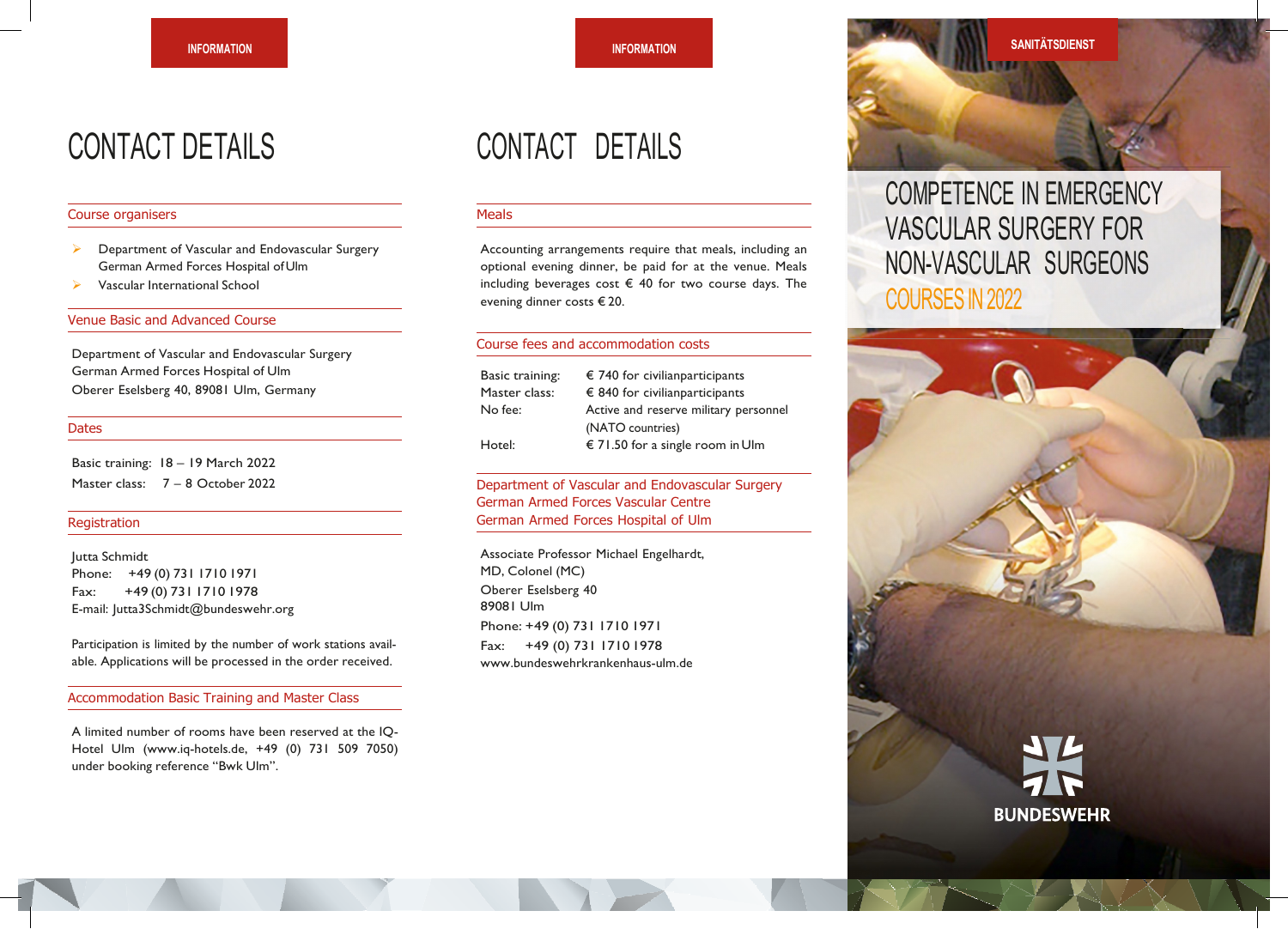## CONTACT DETAILS

#### Course organisers

- Department of Vascular and Endovascular Surgery German Armed Forces Hospital of Ulm
- Vascular International School

#### Venue Basic and Advanced Course

Department of Vascular and Endovascular Surgery German Armed Forces Hospital of Ulm Oberer Eselsberg 40, 89081 Ulm, Germany

#### **Dates**

Basic training: 18 – 19 March 2022 Master class: 7 – 8 October 2022

#### Registration

Jutta Schmidt Phone: +49 (0) 731 1710 1971 Fax: +49 (0) 731 1710 1978 E-mail: [Jutta3Schmidt@bundeswehr.org](mailto:Jutta3Schmidt@bundeswehr.org)

Participation is limited by the number of work stations available. Applications will be processed in the order received.

#### Accommodation Basic Training and Master Class

A limited number of rooms have been reserved at the IQ-Hotel Ulm [\(www.iq-hotels.de, +](http://www.iq-hotels.de/)49 (0) 731 509 7050) under booking reference "Bwk Ulm".

## CONTACT DETAILS

#### **Meals**

Accounting arrangements require that meals, including an optional evening dinner, be paid for at the venue. Meals including beverages cost  $\epsilon$  40 for two course days. The evening dinner costs € 20.

#### Course fees and accommodation costs

| Basic training: | $\epsilon$ 740 for civilian participants  |
|-----------------|-------------------------------------------|
| Master class:   | € 840 for civilian participants           |
| No fee:         | Active and reserve military personnel     |
|                 | (NATO countries)                          |
| Hotel:          | $\epsilon$ 71.50 for a single room in Ulm |

#### Department of Vascular and Endovascular Surgery German Armed Forces Vascular Centre German Armed Forces Hospital of Ulm

Associate Professor Michael Engelhardt, MD, Colonel (MC) Oberer Eselsberg 40 89081 Ulm Phone: +49 (0) 731 1710 1971 Fax: +49 (0) 731 1710 1978 [www.bundeswehrkrankenhaus-ulm.de](http://www.bundeswehrkrankenhaus-ulm.de/)



### COMPETENCE IN EMERGENCY VASCULAR SURGERY FOR NON-VASCULAR SURGEONS COURSES IN 2022